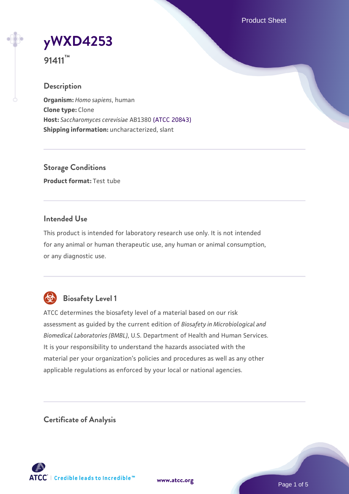Product Sheet



**91411™**

## **Description**

**Organism:** *Homo sapiens*, human **Clone type:** Clone **Host:** *Saccharomyces cerevisiae* AB1380 [\(ATCC 20843\)](https://www.atcc.org/products/20843) **Shipping information:** uncharacterized, slant

**Storage Conditions Product format:** Test tube

## **Intended Use**

This product is intended for laboratory research use only. It is not intended for any animal or human therapeutic use, any human or animal consumption, or any diagnostic use.



## **Biosafety Level 1**

ATCC determines the biosafety level of a material based on our risk assessment as guided by the current edition of *Biosafety in Microbiological and Biomedical Laboratories (BMBL)*, U.S. Department of Health and Human Services. It is your responsibility to understand the hazards associated with the material per your organization's policies and procedures as well as any other applicable regulations as enforced by your local or national agencies.

**Certificate of Analysis**

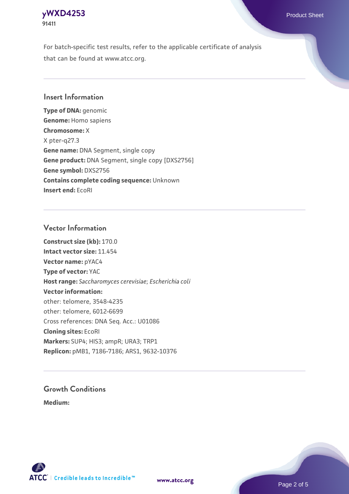## **[yWXD4253](https://www.atcc.org/products/91411)** Product Sheet **91411**

For batch-specific test results, refer to the applicable certificate of analysis that can be found at www.atcc.org.

## **Insert Information**

**Type of DNA:** genomic **Genome:** Homo sapiens **Chromosome:** X X pter-q27.3 **Gene name:** DNA Segment, single copy **Gene product:** DNA Segment, single copy [DXS2756] **Gene symbol:** DXS2756 **Contains complete coding sequence:** Unknown **Insert end:** EcoRI

#### **Vector Information**

**Construct size (kb):** 170.0 **Intact vector size:** 11.454 **Vector name:** pYAC4 **Type of vector:** YAC **Host range:** *Saccharomyces cerevisiae*; *Escherichia coli* **Vector information:** other: telomere, 3548-4235 other: telomere, 6012-6699 Cross references: DNA Seq. Acc.: U01086 **Cloning sites:** EcoRI **Markers:** SUP4; HIS3; ampR; URA3; TRP1 **Replicon:** pMB1, 7186-7186; ARS1, 9632-10376

# **Growth Conditions**

**Medium:** 



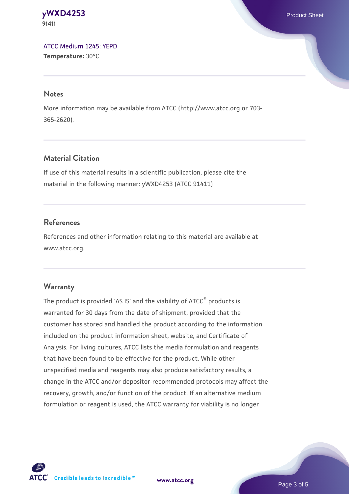#### **[yWXD4253](https://www.atcc.org/products/91411)** Product Sheet **91411**

[ATCC Medium 1245: YEPD](https://www.atcc.org/-/media/product-assets/documents/microbial-media-formulations/1/2/4/5/atcc-medium-1245.pdf?rev=705ca55d1b6f490a808a965d5c072196) **Temperature:** 30°C

#### **Notes**

More information may be available from ATCC (http://www.atcc.org or 703- 365-2620).

## **Material Citation**

If use of this material results in a scientific publication, please cite the material in the following manner: yWXD4253 (ATCC 91411)

## **References**

References and other information relating to this material are available at www.atcc.org.

## **Warranty**

The product is provided 'AS IS' and the viability of ATCC® products is warranted for 30 days from the date of shipment, provided that the customer has stored and handled the product according to the information included on the product information sheet, website, and Certificate of Analysis. For living cultures, ATCC lists the media formulation and reagents that have been found to be effective for the product. While other unspecified media and reagents may also produce satisfactory results, a change in the ATCC and/or depositor-recommended protocols may affect the recovery, growth, and/or function of the product. If an alternative medium formulation or reagent is used, the ATCC warranty for viability is no longer



**[www.atcc.org](http://www.atcc.org)**

Page 3 of 5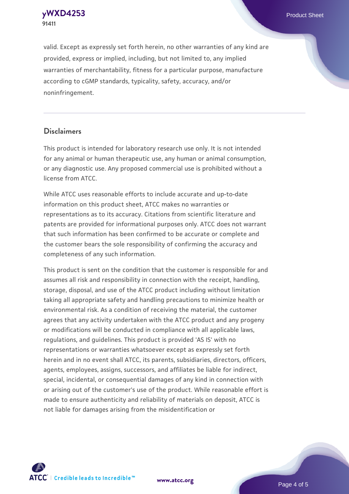**[yWXD4253](https://www.atcc.org/products/91411)** Product Sheet **91411**

valid. Except as expressly set forth herein, no other warranties of any kind are provided, express or implied, including, but not limited to, any implied warranties of merchantability, fitness for a particular purpose, manufacture according to cGMP standards, typicality, safety, accuracy, and/or noninfringement.

#### **Disclaimers**

This product is intended for laboratory research use only. It is not intended for any animal or human therapeutic use, any human or animal consumption, or any diagnostic use. Any proposed commercial use is prohibited without a license from ATCC.

While ATCC uses reasonable efforts to include accurate and up-to-date information on this product sheet, ATCC makes no warranties or representations as to its accuracy. Citations from scientific literature and patents are provided for informational purposes only. ATCC does not warrant that such information has been confirmed to be accurate or complete and the customer bears the sole responsibility of confirming the accuracy and completeness of any such information.

This product is sent on the condition that the customer is responsible for and assumes all risk and responsibility in connection with the receipt, handling, storage, disposal, and use of the ATCC product including without limitation taking all appropriate safety and handling precautions to minimize health or environmental risk. As a condition of receiving the material, the customer agrees that any activity undertaken with the ATCC product and any progeny or modifications will be conducted in compliance with all applicable laws, regulations, and guidelines. This product is provided 'AS IS' with no representations or warranties whatsoever except as expressly set forth herein and in no event shall ATCC, its parents, subsidiaries, directors, officers, agents, employees, assigns, successors, and affiliates be liable for indirect, special, incidental, or consequential damages of any kind in connection with or arising out of the customer's use of the product. While reasonable effort is made to ensure authenticity and reliability of materials on deposit, ATCC is not liable for damages arising from the misidentification or



**[www.atcc.org](http://www.atcc.org)**

Page 4 of 5